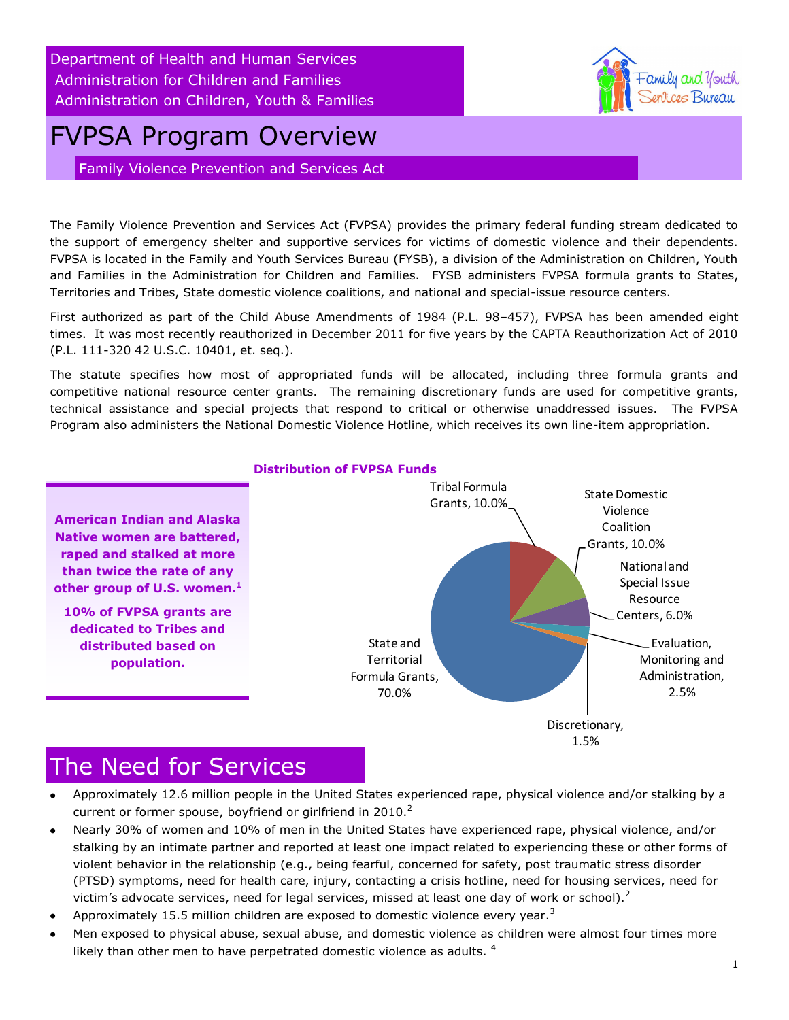Department of Health and Human Services Administration for Children and Families Administration on Children, Youth & Families

# FVPSA Program Overview

Family Violence Prevention and Services Act

The Family Violence Prevention and Services Act (FVPSA) provides the primary federal funding stream dedicated to the support of emergency shelter and supportive services for victims of domestic violence and their dependents. FVPSA is located in the Family and Youth Services Bureau (FYSB), a division of the Administration on Children, Youth and Families in the Administration for Children and Families. FYSB administers FVPSA formula grants to States, Territories and Tribes, State domestic violence coalitions, and national and special-issue resource centers.

First authorized as part of the Child Abuse Amendments of 1984 (P.L. 98–457), FVPSA has been amended eight times. It was most recently reauthorized in December 2011 for five years by the CAPTA Reauthorization Act of 2010 (P.L. 111-320 42 U.S.C. 10401, et. seq.).

The statute specifies how most of appropriated funds will be allocated, including three formula grants and competitive national resource center grants. The remaining discretionary funds are used for competitive grants, technical assistance and special projects that respond to critical or otherwise unaddressed issues. The FVPSA Program also administers the National Domestic Violence Hotline, which receives its own line-item appropriation.



#### **Distribution of FVPSA Funds**

#### The Need for Services

- Approximately 12.6 million people in the United States experienced rape, physical violence and/or stalking by a current or former spouse, boyfriend or girlfriend in  $2010<sup>2</sup>$
- Nearly 30% of women and 10% of men in the United States have experienced rape, physical violence, and/or stalking by an intimate partner and reported at least one impact related to experiencing these or other forms of violent behavior in the relationship (e.g., being fearful, concerned for safety, post traumatic stress disorder (PTSD) symptoms, need for health care, injury, contacting a crisis hotline, need for housing services, need for victim's advocate services, need for legal services, missed at least one day of work or school). $2$
- Approximately 15.5 million children are exposed to domestic violence every year.<sup>3</sup>
- Men exposed to physical abuse, sexual abuse, and domestic violence as children were almost four times more likely than other men to have perpetrated domestic violence as adults.<sup>4</sup>

amily and Youth *ierlices Bureau*